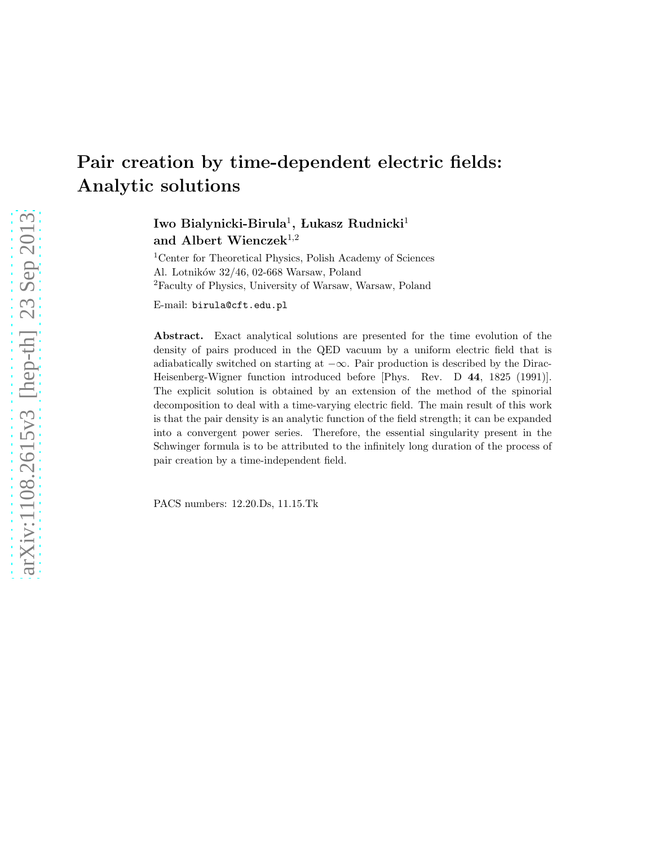# Pair creation by time-dependent electric fields: Analytic solutions

Iwo Bialynicki-Birula $^1,$  Łukasz Rudnicki $^1$ and Albert Wienczek<sup>1,2</sup>

<sup>1</sup>Center for Theoretical Physics, Polish Academy of Sciences Al. Lotników 32/46, 02-668 Warsaw, Poland <sup>2</sup>Faculty of Physics, University of Warsaw, Warsaw, Poland

E-mail: birula@cft.edu.pl

Abstract. Exact analytical solutions are presented for the time evolution of the density of pairs produced in the QED vacuum by a uniform electric field that is adiabatically switched on starting at  $-\infty$ . Pair production is described by the Dirac-Heisenberg-Wigner function introduced before [Phys. Rev. D 44, 1825 (1991)]. The explicit solution is obtained by an extension of the method of the spinorial decomposition to deal with a time-varying electric field. The main result of this work is that the pair density is an analytic function of the field strength; it can be expanded into a convergent power series. Therefore, the essential singularity present in the Schwinger formula is to be attributed to the infinitely long duration of the process of pair creation by a time-independent field.

PACS numbers: 12.20.Ds, 11.15.Tk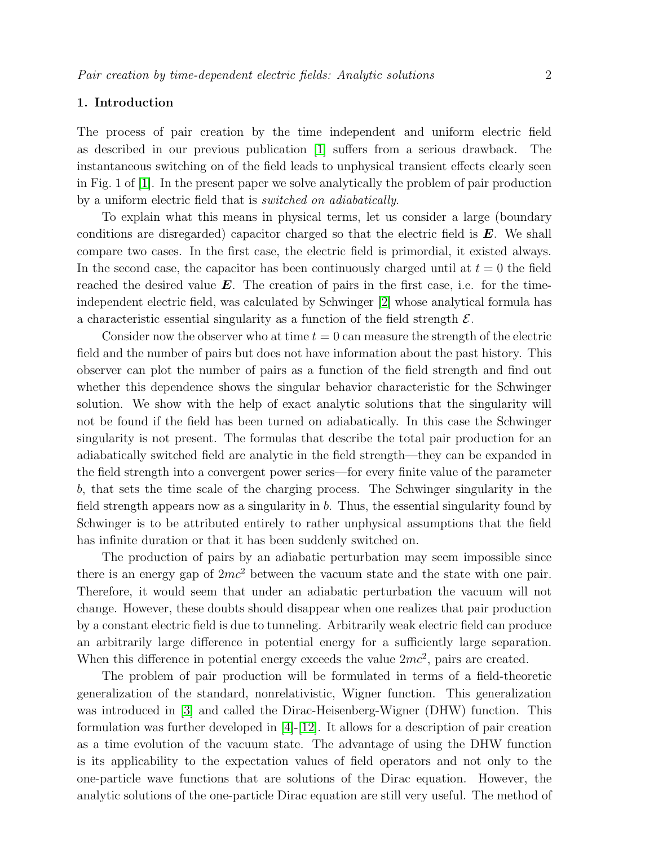#### 1. Introduction

The process of pair creation by the time independent and uniform electric field as described in our previous publication [\[1\]](#page-20-0) suffers from a serious drawback. The instantaneous switching on of the field leads to unphysical transient effects clearly seen in Fig. 1 of [\[1\]](#page-20-0). In the present paper we solve analytically the problem of pair production by a uniform electric field that is switched on adiabatically.

To explain what this means in physical terms, let us consider a large (boundary conditions are disregarded) capacitor charged so that the electric field is  $E$ . We shall compare two cases. In the first case, the electric field is primordial, it existed always. In the second case, the capacitor has been continuously charged until at  $t = 0$  the field reached the desired value  $\boldsymbol{E}$ . The creation of pairs in the first case, i.e. for the timeindependent electric field, was calculated by Schwinger [\[2\]](#page-20-1) whose analytical formula has a characteristic essential singularity as a function of the field strength  $\mathcal{E}$ .

Consider now the observer who at time  $t = 0$  can measure the strength of the electric field and the number of pairs but does not have information about the past history. This observer can plot the number of pairs as a function of the field strength and find out whether this dependence shows the singular behavior characteristic for the Schwinger solution. We show with the help of exact analytic solutions that the singularity will not be found if the field has been turned on adiabatically. In this case the Schwinger singularity is not present. The formulas that describe the total pair production for an adiabatically switched field are analytic in the field strength—they can be expanded in the field strength into a convergent power series—for every finite value of the parameter b, that sets the time scale of the charging process. The Schwinger singularity in the field strength appears now as a singularity in  $b$ . Thus, the essential singularity found by Schwinger is to be attributed entirely to rather unphysical assumptions that the field has infinite duration or that it has been suddenly switched on.

The production of pairs by an adiabatic perturbation may seem impossible since there is an energy gap of  $2mc^2$  between the vacuum state and the state with one pair. Therefore, it would seem that under an adiabatic perturbation the vacuum will not change. However, these doubts should disappear when one realizes that pair production by a constant electric field is due to tunneling. Arbitrarily weak electric field can produce an arbitrarily large difference in potential energy for a sufficiently large separation. When this difference in potential energy exceeds the value  $2mc^2$ , pairs are created.

The problem of pair production will be formulated in terms of a field-theoretic generalization of the standard, nonrelativistic, Wigner function. This generalization was introduced in [\[3\]](#page-20-2) and called the Dirac-Heisenberg-Wigner (DHW) function. This formulation was further developed in  $[4]-[12]$  $[4]-[12]$ . It allows for a description of pair creation as a time evolution of the vacuum state. The advantage of using the DHW function is its applicability to the expectation values of field operators and not only to the one-particle wave functions that are solutions of the Dirac equation. However, the analytic solutions of the one-particle Dirac equation are still very useful. The method of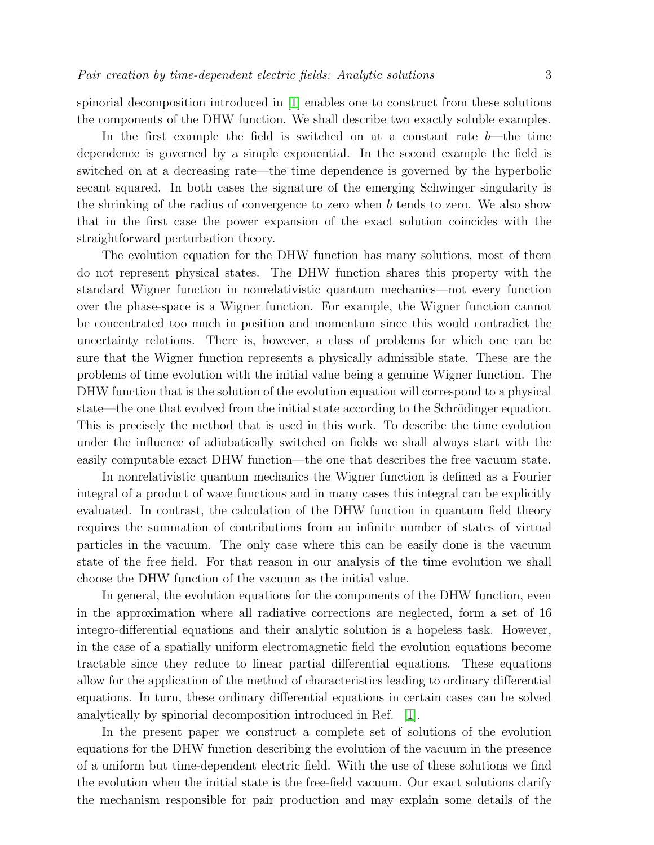spinorial decomposition introduced in [\[1\]](#page-20-0) enables one to construct from these solutions the components of the DHW function. We shall describe two exactly soluble examples.

In the first example the field is switched on at a constant rate  $b$ —the time dependence is governed by a simple exponential. In the second example the field is switched on at a decreasing rate—the time dependence is governed by the hyperbolic secant squared. In both cases the signature of the emerging Schwinger singularity is the shrinking of the radius of convergence to zero when  $b$  tends to zero. We also show that in the first case the power expansion of the exact solution coincides with the straightforward perturbation theory.

The evolution equation for the DHW function has many solutions, most of them do not represent physical states. The DHW function shares this property with the standard Wigner function in nonrelativistic quantum mechanics—not every function over the phase-space is a Wigner function. For example, the Wigner function cannot be concentrated too much in position and momentum since this would contradict the uncertainty relations. There is, however, a class of problems for which one can be sure that the Wigner function represents a physically admissible state. These are the problems of time evolution with the initial value being a genuine Wigner function. The DHW function that is the solution of the evolution equation will correspond to a physical state—the one that evolved from the initial state according to the Schrödinger equation. This is precisely the method that is used in this work. To describe the time evolution under the influence of adiabatically switched on fields we shall always start with the easily computable exact DHW function—the one that describes the free vacuum state.

In nonrelativistic quantum mechanics the Wigner function is defined as a Fourier integral of a product of wave functions and in many cases this integral can be explicitly evaluated. In contrast, the calculation of the DHW function in quantum field theory requires the summation of contributions from an infinite number of states of virtual particles in the vacuum. The only case where this can be easily done is the vacuum state of the free field. For that reason in our analysis of the time evolution we shall choose the DHW function of the vacuum as the initial value.

In general, the evolution equations for the components of the DHW function, even in the approximation where all radiative corrections are neglected, form a set of 16 integro-differential equations and their analytic solution is a hopeless task. However, in the case of a spatially uniform electromagnetic field the evolution equations become tractable since they reduce to linear partial differential equations. These equations allow for the application of the method of characteristics leading to ordinary differential equations. In turn, these ordinary differential equations in certain cases can be solved analytically by spinorial decomposition introduced in Ref. [\[1\]](#page-20-0).

In the present paper we construct a complete set of solutions of the evolution equations for the DHW function describing the evolution of the vacuum in the presence of a uniform but time-dependent electric field. With the use of these solutions we find the evolution when the initial state is the free-field vacuum. Our exact solutions clarify the mechanism responsible for pair production and may explain some details of the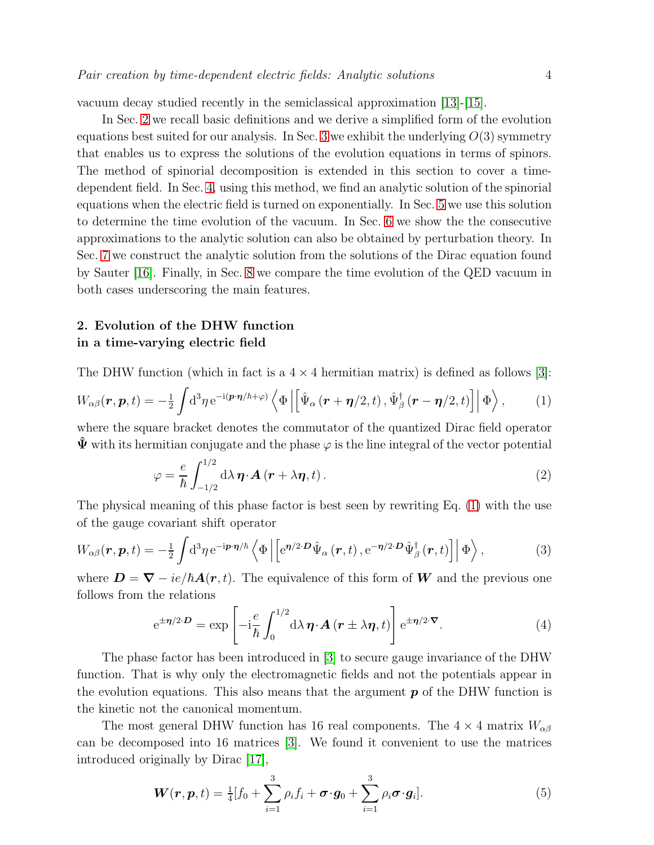vacuum decay studied recently in the semiclassical approximation [\[13\]](#page-20-5)-[\[15\]](#page-20-6).

In Sec. [2](#page-3-0) we recall basic definitions and we derive a simplified form of the evolution equations best suited for our analysis. In Sec. [3](#page-6-0) we exhibit the underlying  $O(3)$  symmetry that enables us to express the solutions of the evolution equations in terms of spinors. The method of spinorial decomposition is extended in this section to cover a timedependent field. In Sec. [4,](#page-7-0) using this method, we find an analytic solution of the spinorial equations when the electric field is turned on exponentially. In Sec. [5](#page-8-0) we use this solution to determine the time evolution of the vacuum. In Sec. [6](#page-12-0) we show the the consecutive approximations to the analytic solution can also be obtained by perturbation theory. In Sec. [7](#page-13-0) we construct the analytic solution from the solutions of the Dirac equation found by Sauter [\[16\]](#page-20-7). Finally, in Sec. [8](#page-14-0) we compare the time evolution of the QED vacuum in both cases underscoring the main features.

# <span id="page-3-0"></span>2. Evolution of the DHW function in a time-varying electric field

The DHW function (which in fact is a  $4 \times 4$  hermitian matrix) is defined as follows [\[3\]](#page-20-2):

$$
W_{\alpha\beta}(\boldsymbol{r},\boldsymbol{p},t) = -\frac{1}{2} \int d^3\eta \, \mathrm{e}^{-\mathrm{i}(\boldsymbol{p}\cdot\boldsymbol{\eta}/\hbar+\varphi)} \left\langle \Phi \left| \left[ \hat{\Psi}_{\alpha} \left( \boldsymbol{r}+\boldsymbol{\eta}/2,t \right), \hat{\Psi}_{\beta}^{\dagger} \left( \boldsymbol{r}-\boldsymbol{\eta}/2,t \right) \right] \right| \Phi \right\rangle, \tag{1}
$$

where the square bracket denotes the commutator of the quantized Dirac field operator  $\hat{\Psi}$  with its hermitian conjugate and the phase  $\varphi$  is the line integral of the vector potential

<span id="page-3-1"></span>
$$
\varphi = \frac{e}{\hbar} \int_{-1/2}^{1/2} d\lambda \, \boldsymbol{\eta} \cdot \boldsymbol{A} \left( \boldsymbol{r} + \lambda \boldsymbol{\eta}, t \right). \tag{2}
$$

The physical meaning of this phase factor is best seen by rewriting Eq. [\(1\)](#page-3-1) with the use of the gauge covariant shift operator

$$
W_{\alpha\beta}(\boldsymbol{r},\boldsymbol{p},t) = -\frac{1}{2} \int d^3\eta \, e^{-i\boldsymbol{p}\cdot\boldsymbol{\eta}/\hbar} \left\langle \Phi \left| \left[ e^{\boldsymbol{\eta}/2\cdot\boldsymbol{D}} \hat{\Psi}_{\alpha}\left(\boldsymbol{r},t\right), e^{-\boldsymbol{\eta}/2\cdot\boldsymbol{D}} \hat{\Psi}_{\beta}^{\dagger}\left(\boldsymbol{r},t\right) \right] \right| \Phi \right\rangle, \tag{3}
$$

where  $\mathbf{D} = \nabla - ie/\hbar \mathbf{A}(\mathbf{r}, t)$ . The equivalence of this form of W and the previous one follows from the relations

<span id="page-3-3"></span><span id="page-3-2"></span>
$$
e^{\pm \eta/2 \cdot D} = \exp \left[ -i \frac{e}{\hbar} \int_0^{1/2} d\lambda \, \eta \cdot \mathbf{A} \left( \mathbf{r} \pm \lambda \eta, t \right) \right] e^{\pm \eta/2 \cdot \nabla} . \tag{4}
$$

The phase factor has been introduced in [\[3\]](#page-20-2) to secure gauge invariance of the DHW function. That is why only the electromagnetic fields and not the potentials appear in the evolution equations. This also means that the argument  $p$  of the DHW function is the kinetic not the canonical momentum.

The most general DHW function has 16 real components. The  $4 \times 4$  matrix  $W_{\alpha\beta}$ can be decomposed into 16 matrices [\[3\]](#page-20-2). We found it convenient to use the matrices introduced originally by Dirac [\[17\]](#page-20-8),

$$
\boldsymbol{W}(\boldsymbol{r},\boldsymbol{p},t)=\frac{1}{4}[f_0+\sum_{i=1}^3\rho_if_i+\boldsymbol{\sigma}\cdot\boldsymbol{g}_0+\sum_{i=1}^3\rho_i\boldsymbol{\sigma}\cdot\boldsymbol{g}_i].
$$
\n(5)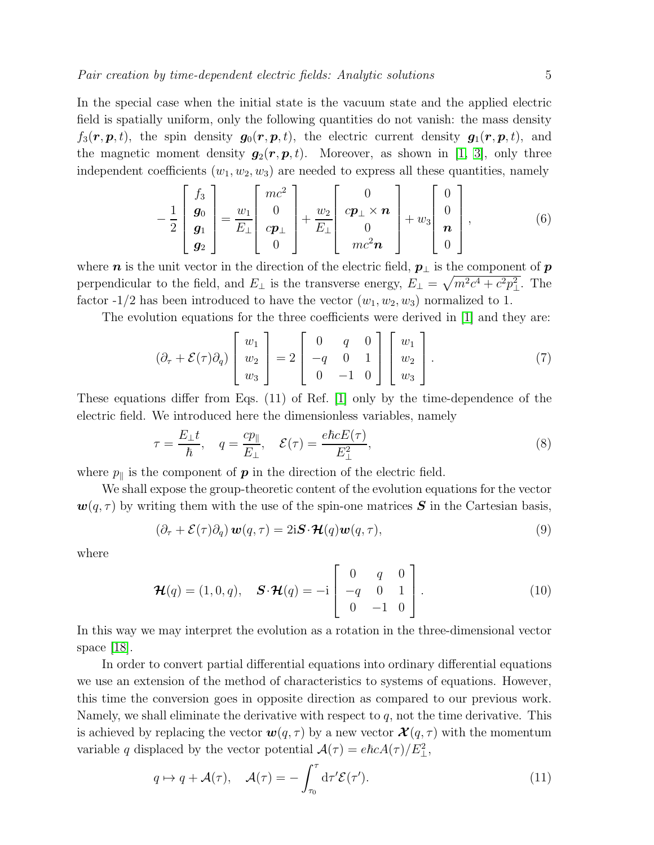In the special case when the initial state is the vacuum state and the applied electric field is spatially uniform, only the following quantities do not vanish: the mass density  $f_3(\mathbf{r}, \mathbf{p}, t)$ , the spin density  $g_0(\mathbf{r}, \mathbf{p}, t)$ , the electric current density  $g_1(\mathbf{r}, \mathbf{p}, t)$ , and the magnetic moment density  $g_2(r, p, t)$ . Moreover, as shown in [\[1,](#page-20-0) [3\]](#page-20-2), only three independent coefficients  $(w_1, w_2, w_3)$  are needed to express all these quantities, namely

<span id="page-4-2"></span>
$$
-\frac{1}{2}\begin{bmatrix} f_3 \\ g_0 \\ g_1 \\ g_2 \end{bmatrix} = \frac{w_1}{E_\perp} \begin{bmatrix} mc^2 \\ 0 \\ cp_\perp \\ 0 \end{bmatrix} + \frac{w_2}{E_\perp} \begin{bmatrix} 0 \\ cp_\perp \times n \\ 0 \\ mc^2 n \end{bmatrix} + w_3 \begin{bmatrix} 0 \\ 0 \\ n \\ 0 \end{bmatrix},
$$
(6)

where  $n$  is the unit vector in the direction of the electric field,  $p_{\perp}$  is the component of  $p$ perpendicular to the field, and  $E_{\perp}$  is the transverse energy,  $E_{\perp} = \sqrt{m^2c^4 + c^2p_{\perp}^2}$ . The factor -1/2 has been introduced to have the vector  $(w_1, w_2, w_3)$  normalized to 1.

The evolution equations for the three coefficients were derived in [\[1\]](#page-20-0) and they are:

<span id="page-4-1"></span>
$$
(\partial_{\tau} + \mathcal{E}(\tau)\partial_q) \begin{bmatrix} w_1 \\ w_2 \\ w_3 \end{bmatrix} = 2 \begin{bmatrix} 0 & q & 0 \\ -q & 0 & 1 \\ 0 & -1 & 0 \end{bmatrix} \begin{bmatrix} w_1 \\ w_2 \\ w_3 \end{bmatrix}.
$$
 (7)

These equations differ from Eqs. (11) of Ref. [\[1\]](#page-20-0) only by the time-dependence of the electric field. We introduced here the dimensionless variables, namely

$$
\tau = \frac{E_{\perp}t}{\hbar}, \quad q = \frac{cp_{\parallel}}{E_{\perp}}, \quad \mathcal{E}(\tau) = \frac{e\hbar cE(\tau)}{E_{\perp}^2},\tag{8}
$$

where  $p_{\parallel}$  is the component of **p** in the direction of the electric field.

We shall expose the group-theoretic content of the evolution equations for the vector  $\mathbf{w}(q, \tau)$  by writing them with the use of the spin-one matrices S in the Cartesian basis,

<span id="page-4-0"></span>
$$
(\partial_{\tau} + \mathcal{E}(\tau)\partial_q) \mathbf{w}(q, \tau) = 2i \mathbf{S} \cdot \mathcal{H}(q) \mathbf{w}(q, \tau), \tag{9}
$$

where

$$
\mathcal{H}(q) = (1, 0, q), \quad \mathbf{S} \cdot \mathcal{H}(q) = -i \begin{bmatrix} 0 & q & 0 \\ -q & 0 & 1 \\ 0 & -1 & 0 \end{bmatrix}.
$$
 (10)

In this way we may interpret the evolution as a rotation in the three-dimensional vector space  $|18|$ .

In order to convert partial differential equations into ordinary differential equations we use an extension of the method of characteristics to systems of equations. However, this time the conversion goes in opposite direction as compared to our previous work. Namely, we shall eliminate the derivative with respect to  $q$ , not the time derivative. This is achieved by replacing the vector  $\mathbf{w}(q, \tau)$  by a new vector  $\mathbf{\mathcal{X}}(q, \tau)$  with the momentum variable q displaced by the vector potential  $\mathcal{A}(\tau) = e\hbar c A(\tau)/E_{\perp}^2$ ,

$$
q \mapsto q + \mathcal{A}(\tau), \quad \mathcal{A}(\tau) = -\int_{\tau_0}^{\tau} d\tau' \mathcal{E}(\tau'). \tag{11}
$$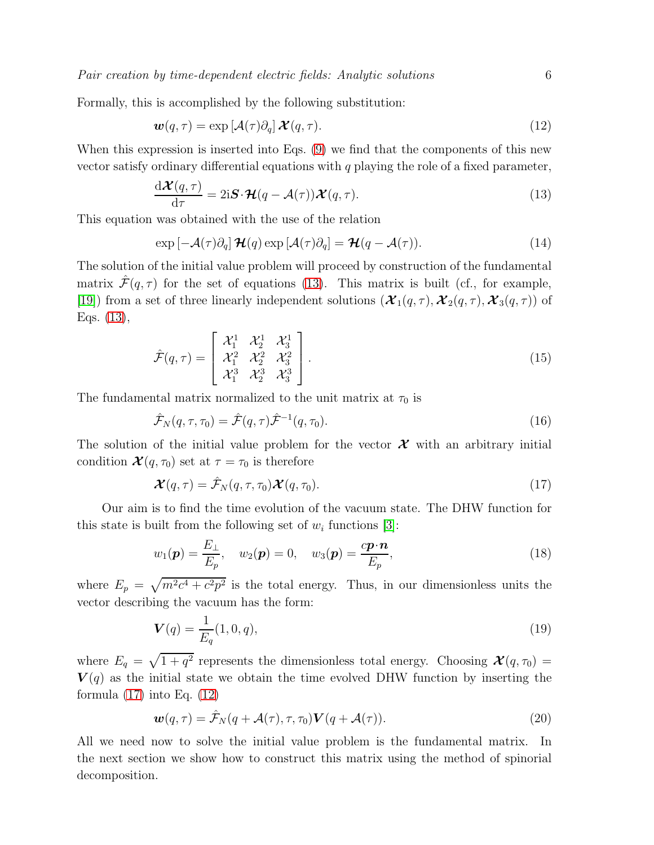Pair creation by time-dependent electric fields: Analytic solutions 6

Formally, this is accomplished by the following substitution:

<span id="page-5-2"></span>
$$
\mathbf{w}(q,\tau) = \exp\left[\mathcal{A}(\tau)\partial_q\right]\mathcal{X}(q,\tau). \tag{12}
$$

When this expression is inserted into Eqs. [\(9\)](#page-4-0) we find that the components of this new vector satisfy ordinary differential equations with  $q$  playing the role of a fixed parameter,

<span id="page-5-0"></span>
$$
\frac{\mathrm{d}\mathcal{X}(q,\tau)}{\mathrm{d}\tau} = 2\mathrm{i}\mathbf{S}\cdot\mathcal{H}(q-\mathcal{A}(\tau))\mathcal{X}(q,\tau). \tag{13}
$$

This equation was obtained with the use of the relation

$$
\exp\left[-\mathcal{A}(\tau)\partial_q\right]\mathcal{H}(q)\exp\left[\mathcal{A}(\tau)\partial_q\right]=\mathcal{H}(q-\mathcal{A}(\tau)).\tag{14}
$$

The solution of the initial value problem will proceed by construction of the fundamental matrix  $\mathcal{F}(q, \tau)$  for the set of equations [\(13\)](#page-5-0). This matrix is built (cf., for example, [\[19\]](#page-20-10)) from a set of three linearly independent solutions  $(\mathcal{X}_1(q,\tau), \mathcal{X}_2(q,\tau), \mathcal{X}_3(q,\tau))$  of Eqs. [\(13\)](#page-5-0),

$$
\hat{\mathcal{F}}(q,\tau) = \begin{bmatrix} \mathcal{X}_1^1 & \mathcal{X}_2^1 & \mathcal{X}_3^1 \\ \mathcal{X}_1^2 & \mathcal{X}_2^2 & \mathcal{X}_3^2 \\ \mathcal{X}_1^3 & \mathcal{X}_2^3 & \mathcal{X}_3^3 \end{bmatrix} .
$$
\n(15)

The fundamental matrix normalized to the unit matrix at  $\tau_0$  is

<span id="page-5-3"></span>
$$
\hat{\mathcal{F}}_N(q,\tau,\tau_0) = \hat{\mathcal{F}}(q,\tau)\hat{\mathcal{F}}^{-1}(q,\tau_0). \tag{16}
$$

The solution of the initial value problem for the vector  $\mathcal X$  with an arbitrary initial condition  $\mathcal{X}(q, \tau_0)$  set at  $\tau = \tau_0$  is therefore

<span id="page-5-1"></span>
$$
\mathcal{X}(q,\tau) = \hat{\mathcal{F}}_N(q,\tau,\tau_0)\mathcal{X}(q,\tau_0).
$$
\n(17)

Our aim is to find the time evolution of the vacuum state. The DHW function for this state is built from the following set of  $w_i$  functions [\[3\]](#page-20-2):

<span id="page-5-6"></span>
$$
w_1(\boldsymbol{p}) = \frac{E_{\perp}}{E_p}, \quad w_2(\boldsymbol{p}) = 0, \quad w_3(\boldsymbol{p}) = \frac{c\boldsymbol{p} \cdot \boldsymbol{n}}{E_p}, \tag{18}
$$

where  $E_p = \sqrt{m^2c^4 + c^2p^2}$  is the total energy. Thus, in our dimensionless units the vector describing the vacuum has the form:

<span id="page-5-5"></span>
$$
\mathbf{V}(q) = \frac{1}{E_q}(1, 0, q),\tag{19}
$$

where  $E_q = \sqrt{1 + q^2}$  represents the dimensionless total energy. Choosing  $\mathcal{X}(q, \tau_0) =$  $V(q)$  as the initial state we obtain the time evolved DHW function by inserting the formula  $(17)$  into Eq.  $(12)$ 

<span id="page-5-4"></span>
$$
\mathbf{w}(q,\tau) = \hat{\mathcal{F}}_N(q + \mathcal{A}(\tau), \tau, \tau_0) \mathbf{V}(q + \mathcal{A}(\tau)). \tag{20}
$$

All we need now to solve the initial value problem is the fundamental matrix. In the next section we show how to construct this matrix using the method of spinorial decomposition.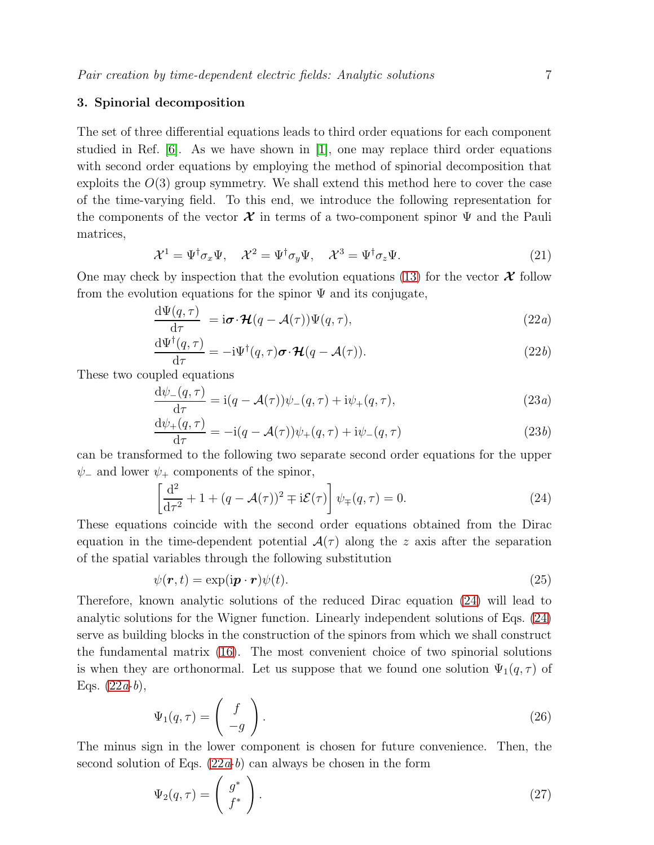#### <span id="page-6-0"></span>3. Spinorial decomposition

The set of three differential equations leads to third order equations for each component studied in Ref.  $[6]$ . As we have shown in  $[1]$ , one may replace third order equations with second order equations by employing the method of spinorial decomposition that exploits the  $O(3)$  group symmetry. We shall extend this method here to cover the case of the time-varying field. To this end, we introduce the following representation for the components of the vector  $\mathcal X$  in terms of a two-component spinor  $\Psi$  and the Pauli matrices,

$$
\mathcal{X}^1 = \Psi^\dagger \sigma_x \Psi, \quad \mathcal{X}^2 = \Psi^\dagger \sigma_y \Psi, \quad \mathcal{X}^3 = \Psi^\dagger \sigma_z \Psi.
$$
 (21)

One may check by inspection that the evolution equations [\(13\)](#page-5-0) for the vector  $\mathcal X$  follow from the evolution equations for the spinor  $\Psi$  and its conjugate,

$$
\frac{\mathrm{d}\Psi(q,\tau)}{\mathrm{d}\tau} = \mathrm{i}\boldsymbol{\sigma}\cdot\boldsymbol{\mathcal{H}}(q-\mathcal{A}(\tau))\Psi(q,\tau),\tag{22a}
$$

$$
\frac{\mathrm{d}\Psi^{\dagger}(q,\tau)}{\mathrm{d}\tau} = -\mathrm{i}\Psi^{\dagger}(q,\tau)\boldsymbol{\sigma}\cdot\boldsymbol{\mathcal{H}}(q-\mathcal{A}(\tau)).\tag{22b}
$$

These two coupled equations

$$
\frac{\mathrm{d}\psi_{-}(q,\tau)}{\mathrm{d}\tau} = \mathrm{i}(q - \mathcal{A}(\tau))\psi_{-}(q,\tau) + \mathrm{i}\psi_{+}(q,\tau),\tag{23a}
$$

$$
\frac{\mathrm{d}\psi_+(q,\tau)}{\mathrm{d}\tau} = -\mathrm{i}(q-\mathcal{A}(\tau))\psi_+(q,\tau) + \mathrm{i}\psi_-(q,\tau) \tag{23b}
$$

can be transformed to the following two separate second order equations for the upper  $\psi_-\$  and lower  $\psi_+\$  components of the spinor,

<span id="page-6-1"></span>
$$
\left[\frac{\mathrm{d}^2}{\mathrm{d}\tau^2} + 1 + (q - \mathcal{A}(\tau))^2 \mp i\mathcal{E}(\tau)\right] \psi_{\mp}(q, \tau) = 0.
$$
 (24)

These equations coincide with the second order equations obtained from the Dirac equation in the time-dependent potential  $\mathcal{A}(\tau)$  along the z axis after the separation of the spatial variables through the following substitution

$$
\psi(\mathbf{r},t) = \exp(i\mathbf{p}\cdot\mathbf{r})\psi(t). \tag{25}
$$

Therefore, known analytic solutions of the reduced Dirac equation [\(24\)](#page-6-1) will lead to analytic solutions for the Wigner function. Linearly independent solutions of Eqs. [\(24\)](#page-6-1) serve as building blocks in the construction of the spinors from which we shall construct the fundamental matrix [\(16\)](#page-5-3). The most convenient choice of two spinorial solutions is when they are orthonormal. Let us suppose that we found one solution  $\Psi_1(q, \tau)$  of Eqs.  $(22a-b)$ ,

<span id="page-6-2"></span>
$$
\Psi_1(q,\tau) = \begin{pmatrix} f \\ -g \end{pmatrix} . \tag{26}
$$

The minus sign in the lower component is chosen for future convenience. Then, the second solution of Eqs.  $(22a-b)$  can always be chosen in the form

<span id="page-6-3"></span>
$$
\Psi_2(q,\tau) = \begin{pmatrix} g^* \\ f^* \end{pmatrix} . \tag{27}
$$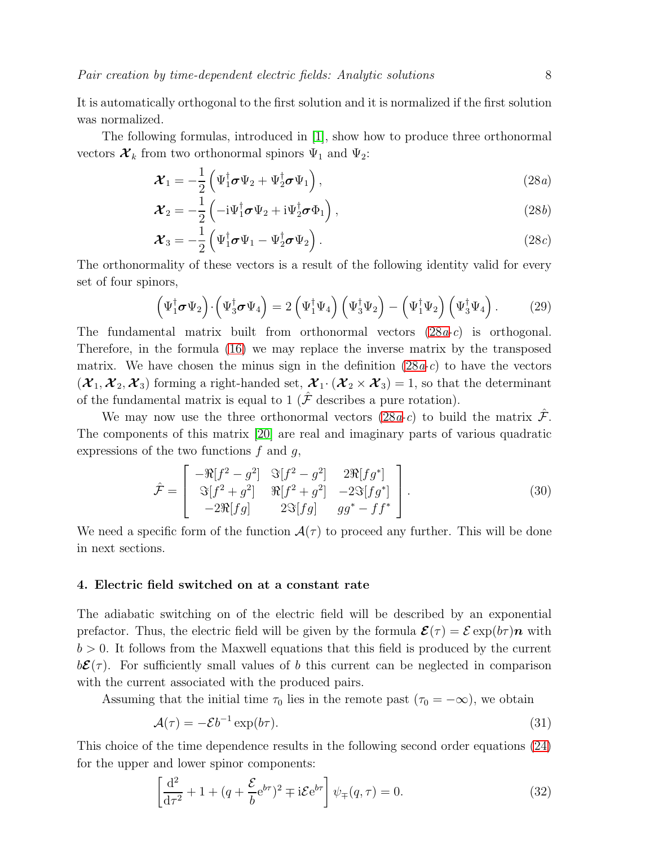It is automatically orthogonal to the first solution and it is normalized if the first solution was normalized.

The following formulas, introduced in [\[1\]](#page-20-0), show how to produce three orthonormal vectors  $\mathcal{X}_k$  from two orthonormal spinors  $\Psi_1$  and  $\Psi_2$ :

<span id="page-7-1"></span>
$$
\mathcal{X}_1 = -\frac{1}{2} \left( \Psi_1^{\dagger} \boldsymbol{\sigma} \Psi_2 + \Psi_2^{\dagger} \boldsymbol{\sigma} \Psi_1 \right), \qquad (28a)
$$

$$
\boldsymbol{\mathcal{X}}_2 = -\frac{1}{2} \left( -\mathrm{i} \Psi_1^\dagger \boldsymbol{\sigma} \Psi_2 + \mathrm{i} \Psi_2^\dagger \boldsymbol{\sigma} \Phi_1 \right),\tag{28b}
$$

$$
\mathcal{X}_3 = -\frac{1}{2} \left( \Psi_1^{\dagger} \boldsymbol{\sigma} \Psi_1 - \Psi_2^{\dagger} \boldsymbol{\sigma} \Psi_2 \right). \tag{28c}
$$

The orthonormality of these vectors is a result of the following identity valid for every set of four spinors,

$$
\left(\Psi_1^{\dagger} \boldsymbol{\sigma} \Psi_2\right) \cdot \left(\Psi_3^{\dagger} \boldsymbol{\sigma} \Psi_4\right) = 2 \left(\Psi_1^{\dagger} \Psi_4\right) \left(\Psi_3^{\dagger} \Psi_2\right) - \left(\Psi_1^{\dagger} \Psi_2\right) \left(\Psi_3^{\dagger} \Psi_4\right). \tag{29}
$$

The fundamental matrix built from orthonormal vectors  $(28a-c)$  is orthogonal. Therefore, in the formula [\(16\)](#page-5-3) we may replace the inverse matrix by the transposed matrix. We have chosen the minus sign in the definition  $(28a-c)$  to have the vectors  $(\mathcal{X}_1, \mathcal{X}_2, \mathcal{X}_3)$  forming a right-handed set,  $\mathcal{X}_1 \cdot (\mathcal{X}_2 \times \mathcal{X}_3) = 1$ , so that the determinant of the fundamental matrix is equal to 1 ( $\hat{\mathcal{F}}$  describes a pure rotation).

We may now use the three orthonormal vectors  $(28a-c)$  to build the matrix  $\mathcal{F}$ . The components of this matrix [\[20\]](#page-20-12) are real and imaginary parts of various quadratic expressions of the two functions  $f$  and  $g$ ,

<span id="page-7-2"></span>
$$
\hat{\mathcal{F}} = \begin{bmatrix} -\Re[f^2 - g^2] & \Im[f^2 - g^2] & 2\Re[fg^*] \\ \Im[f^2 + g^2] & \Re[f^2 + g^2] & -2\Im[fg^*] \\ -2\Re[fg] & 2\Im[fg] & gg^* - ff^* \end{bmatrix} . \tag{30}
$$

We need a specific form of the function  $\mathcal{A}(\tau)$  to proceed any further. This will be done in next sections.

#### <span id="page-7-0"></span>4. Electric field switched on at a constant rate

The adiabatic switching on of the electric field will be described by an exponential prefactor. Thus, the electric field will be given by the formula  $\mathcal{E}(\tau) = \mathcal{E} \exp(b\tau)\boldsymbol{n}$  with  $b > 0$ . It follows from the Maxwell equations that this field is produced by the current  $b\mathcal{E}(\tau)$ . For sufficiently small values of b this current can be neglected in comparison with the current associated with the produced pairs.

Assuming that the initial time  $\tau_0$  lies in the remote past  $(\tau_0 = -\infty)$ , we obtain

$$
\mathcal{A}(\tau) = -\mathcal{E}b^{-1}\exp(b\tau). \tag{31}
$$

This choice of the time dependence results in the following second order equations [\(24\)](#page-6-1) for the upper and lower spinor components:

$$
\left[\frac{\mathrm{d}^2}{\mathrm{d}\tau^2} + 1 + (q + \frac{\mathcal{E}}{b} e^{b\tau})^2 \mp i\mathcal{E} e^{b\tau}\right] \psi_{\mp}(q, \tau) = 0. \tag{32}
$$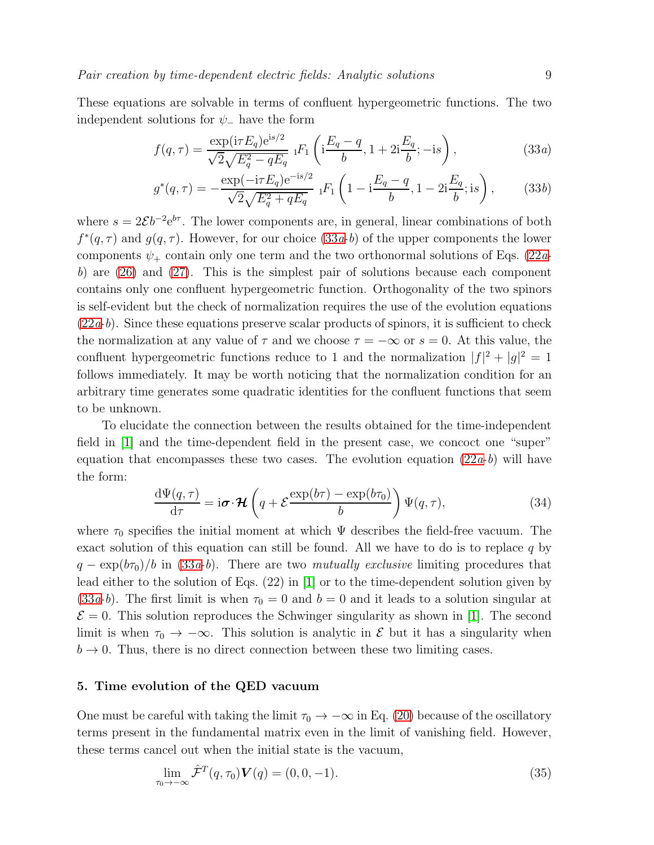These equations are solvable in terms of confluent hypergeometric functions. The two independent solutions for  $\psi$ <sub>-</sub> have the form

<span id="page-8-1"></span>
$$
f(q,\tau) = \frac{\exp(i\tau E_q) e^{is/2}}{\sqrt{2}\sqrt{E_q^2 - qE_q}} \; {}_1F_1\left(i\frac{E_q - q}{b}, 1 + 2i\frac{E_q}{b}; -is\right),\tag{33a}
$$

$$
g^*(q,\tau) = -\frac{\exp(-\mathrm{i}\tau E_q)\mathrm{e}^{-\mathrm{i}s/2}}{\sqrt{2}\sqrt{E_q^2 + qE_q}} \ {}_1F_1\left(1 - \mathrm{i}\frac{E_q - q}{b}, 1 - 2\mathrm{i}\frac{E_q}{b}; \mathrm{i}s\right),\tag{33b}
$$

where  $s = 2\mathcal{E}b^{-2}e^{b\tau}$ . The lower components are, in general, linear combinations of both  $f^*(q, \tau)$  and  $g(q, \tau)$ . However, for our choice  $(33a-b)$  of the upper components the lower components  $\psi_+$  contain only one term and the two orthonormal solutions of Eqs. [\(22](#page-7-1)ab) are  $(26)$  and  $(27)$ . This is the simplest pair of solutions because each component contains only one confluent hypergeometric function. Orthogonality of the two spinors is self-evident but the check of normalization requires the use of the evolution equations  $(22a-b)$  $(22a-b)$ . Since these equations preserve scalar products of spinors, it is sufficient to check the normalization at any value of  $\tau$  and we choose  $\tau = -\infty$  or  $s = 0$ . At this value, the confluent hypergeometric functions reduce to 1 and the normalization  $|f|^2 + |g|^2 = 1$ follows immediately. It may be worth noticing that the normalization condition for an arbitrary time generates some quadratic identities for the confluent functions that seem to be unknown.

To elucidate the connection between the results obtained for the time-independent field in [\[1\]](#page-20-0) and the time-dependent field in the present case, we concoct one "super" equation that encompasses these two cases. The evolution equation  $(22a-b)$  will have the form:

$$
\frac{\mathrm{d}\Psi(q,\tau)}{\mathrm{d}\tau} = \mathrm{i}\boldsymbol{\sigma}\cdot\boldsymbol{\mathcal{H}}\left(q + \mathcal{E}\frac{\exp(b\tau) - \exp(b\tau_0)}{b}\right)\Psi(q,\tau),\tag{34}
$$

where  $\tau_0$  specifies the initial moment at which  $\Psi$  describes the field-free vacuum. The exact solution of this equation can still be found. All we have to do is to replace q by  $q - \exp(b\tau_0)/b$  in [\(33](#page-8-1)a-b). There are two mutually exclusive limiting procedures that lead either to the solution of Eqs. (22) in [\[1\]](#page-20-0) or to the time-dependent solution given by  $(33a-b)$  $(33a-b)$ . The first limit is when  $\tau_0=0$  and  $b=0$  and it leads to a solution singular at  $\mathcal{E} = 0$ . This solution reproduces the Schwinger singularity as shown in [\[1\]](#page-20-0). The second limit is when  $\tau_0 \to -\infty$ . This solution is analytic in  $\mathcal E$  but it has a singularity when  $b \rightarrow 0$ . Thus, there is no direct connection between these two limiting cases.

#### <span id="page-8-0"></span>5. Time evolution of the QED vacuum

One must be careful with taking the limit  $\tau_0 \to -\infty$  in Eq. [\(20\)](#page-5-4) because of the oscillatory terms present in the fundamental matrix even in the limit of vanishing field. However, these terms cancel out when the initial state is the vacuum,

<span id="page-8-2"></span>
$$
\lim_{\tau_0 \to -\infty} \hat{\mathcal{F}}^T(q, \tau_0) \mathbf{V}(q) = (0, 0, -1).
$$
\n(35)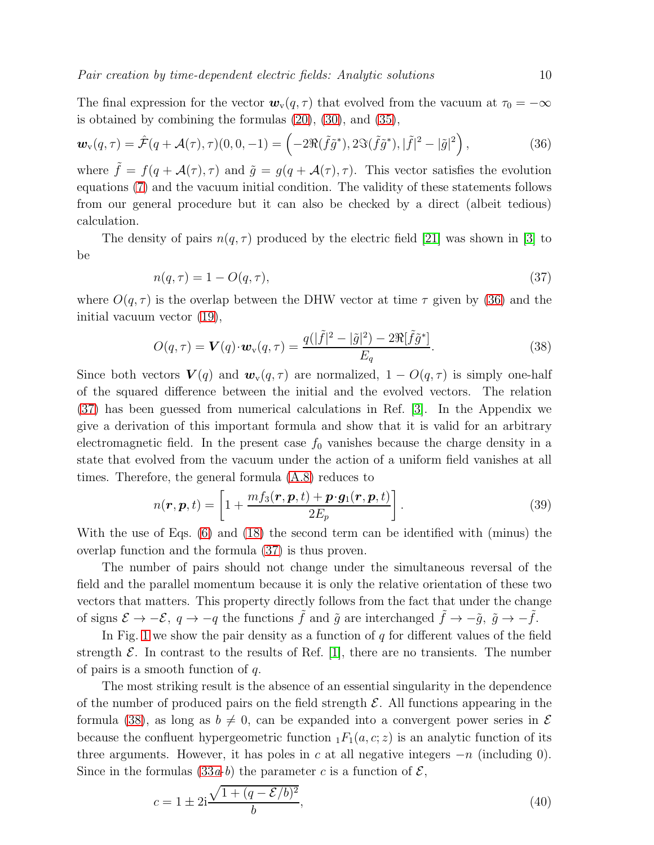The final expression for the vector  $\mathbf{w}_{\mathbf{v}}(q, \tau)$  that evolved from the vacuum at  $\tau_0 = -\infty$ is obtained by combining the formulas [\(20\)](#page-5-4), [\(30\)](#page-7-2), and [\(35\)](#page-8-2),

<span id="page-9-0"></span>
$$
\boldsymbol{w}_{\mathrm{v}}(q,\tau) = \hat{\mathcal{F}}(q+\mathcal{A}(\tau),\tau)(0,0,-1) = \left(-2\Re(\tilde{f}\tilde{g}^*),2\Im(\tilde{f}\tilde{g}^*),|\tilde{f}|^2-|\tilde{g}|^2\right),\tag{36}
$$

where  $\tilde{f} = f(q + \mathcal{A}(\tau), \tau)$  and  $\tilde{g} = g(q + \mathcal{A}(\tau), \tau)$ . This vector satisfies the evolution equations [\(7\)](#page-4-1) and the vacuum initial condition. The validity of these statements follows from our general procedure but it can also be checked by a direct (albeit tedious) calculation.

The density of pairs  $n(q, \tau)$  produced by the electric field [\[21\]](#page-20-13) was shown in [\[3\]](#page-20-2) to be

<span id="page-9-1"></span>
$$
n(q,\tau) = 1 - O(q,\tau),\tag{37}
$$

where  $O(q, \tau)$  is the overlap between the DHW vector at time  $\tau$  given by [\(36\)](#page-9-0) and the initial vacuum vector [\(19\)](#page-5-5),

<span id="page-9-2"></span>
$$
O(q,\tau) = \mathbf{V}(q) \cdot \mathbf{w}_{\mathbf{v}}(q,\tau) = \frac{q(|\tilde{f}|^2 - |\tilde{g}|^2) - 2\Re[\tilde{f}\tilde{g}^*]}{E_q}.
$$
 (38)

Since both vectors  $V(q)$  and  $w_{\rm v}(q, \tau)$  are normalized,  $1 - O(q, \tau)$  is simply one-half of the squared difference between the initial and the evolved vectors. The relation [\(37\)](#page-9-1) has been guessed from numerical calculations in Ref. [\[3\]](#page-20-2). In the Appendix we give a derivation of this important formula and show that it is valid for an arbitrary electromagnetic field. In the present case  $f_0$  vanishes because the charge density in a state that evolved from the vacuum under the action of a uniform field vanishes at all times. Therefore, the general formula [\(A.8\)](#page-19-0) reduces to

$$
n(\boldsymbol{r}, \boldsymbol{p}, t) = \left[1 + \frac{mf_3(\boldsymbol{r}, \boldsymbol{p}, t) + \boldsymbol{p} \cdot \boldsymbol{g}_1(\boldsymbol{r}, \boldsymbol{p}, t)}{2E_p}\right].
$$
\n(39)

With the use of Eqs. [\(6\)](#page-4-2) and [\(18\)](#page-5-6) the second term can be identified with (minus) the overlap function and the formula [\(37\)](#page-9-1) is thus proven.

The number of pairs should not change under the simultaneous reversal of the field and the parallel momentum because it is only the relative orientation of these two vectors that matters. This property directly follows from the fact that under the change of signs  $\mathcal{E} \to -\mathcal{E}$ ,  $q \to -q$  the functions  $\tilde{f}$  and  $\tilde{g}$  are interchanged  $\tilde{f} \to -\tilde{g}$ ,  $\tilde{g} \to -\tilde{f}$ .

In Fig. [1](#page-10-0) we show the pair density as a function of  $q$  for different values of the field strength  $\mathcal{E}$ . In contrast to the results of Ref. [\[1\]](#page-20-0), there are no transients. The number of pairs is a smooth function of  $q$ .

The most striking result is the absence of an essential singularity in the dependence of the number of produced pairs on the field strength  $\mathcal{E}$ . All functions appearing in the formula [\(38\)](#page-9-2), as long as  $b \neq 0$ , can be expanded into a convergent power series in  $\mathcal E$ because the confluent hypergeometric function  $_1F_1(a, c; z)$  is an analytic function of its three arguments. However, it has poles in c at all negative integers  $-n$  (including 0). Since in the formulas  $(33a-b)$  the parameter c is a function of  $\mathcal{E}$ ,

<span id="page-9-3"></span>
$$
c = 1 \pm 2i \frac{\sqrt{1 + (q - \mathcal{E}/b)^2}}{b},
$$
\n(40)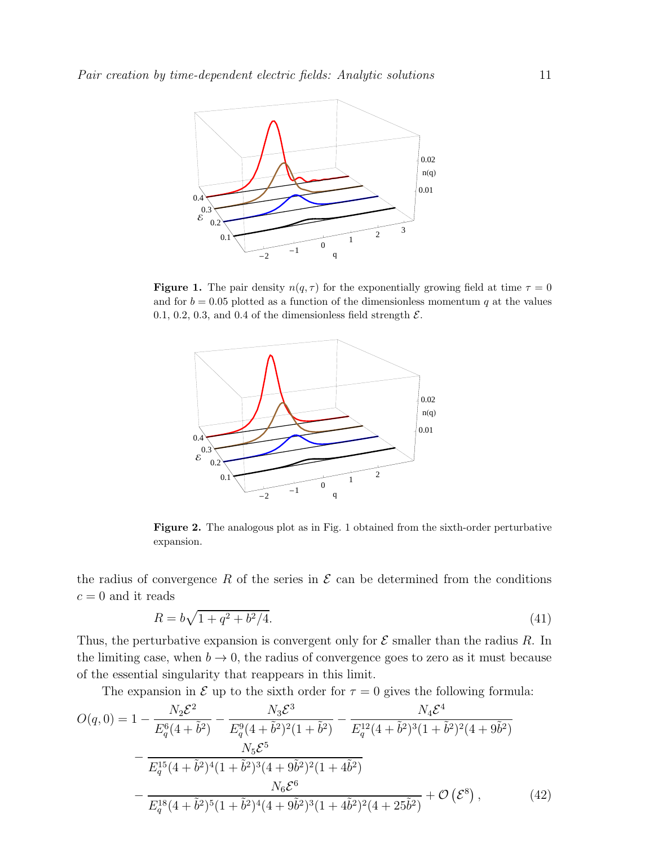

**Figure 1.** The pair density  $n(q, \tau)$  for the exponentially growing field at time  $\tau = 0$ and for  $b = 0.05$  plotted as a function of the dimensionless momentum q at the values 0.1, 0.2, 0.3, and 0.4 of the dimensionless field strength  $\mathcal{E}$ .

<span id="page-10-0"></span>

Figure 2. The analogous plot as in Fig. 1 obtained from the sixth-order perturbative expansion.

the radius of convergence R of the series in  $\mathcal E$  can be determined from the conditions  $c = 0$  and it reads

<span id="page-10-2"></span>
$$
R = b\sqrt{1 + q^2 + b^2/4}.\tag{41}
$$

Thus, the perturbative expansion is convergent only for  $\mathcal E$  smaller than the radius R. In the limiting case, when  $b \to 0$ , the radius of convergence goes to zero as it must because of the essential singularity that reappears in this limit.

<span id="page-10-1"></span>The expansion in  $\mathcal E$  up to the sixth order for  $\tau = 0$  gives the following formula:

$$
O(q,0) = 1 - \frac{N_2 \mathcal{E}^2}{E_q^6 (4 + \tilde{b}^2)} - \frac{N_3 \mathcal{E}^3}{E_q^9 (4 + \tilde{b}^2)^2 (1 + \tilde{b}^2)} - \frac{N_4 \mathcal{E}^4}{E_q^{12} (4 + \tilde{b}^2)^3 (1 + \tilde{b}^2)^2 (4 + 9\tilde{b}^2)}
$$
  
 
$$
- \frac{N_5 \mathcal{E}^5}{E_q^{15} (4 + \tilde{b}^2)^4 (1 + \tilde{b}^2)^3 (4 + 9\tilde{b}^2)^2 (1 + 4\tilde{b}^2)}
$$
  
 
$$
- \frac{N_6 \mathcal{E}^6}{E_q^{18} (4 + \tilde{b}^2)^5 (1 + \tilde{b}^2)^4 (4 + 9\tilde{b}^2)^3 (1 + 4\tilde{b}^2)^2 (4 + 25\tilde{b}^2)} + \mathcal{O}(\mathcal{E}^8), \tag{42}
$$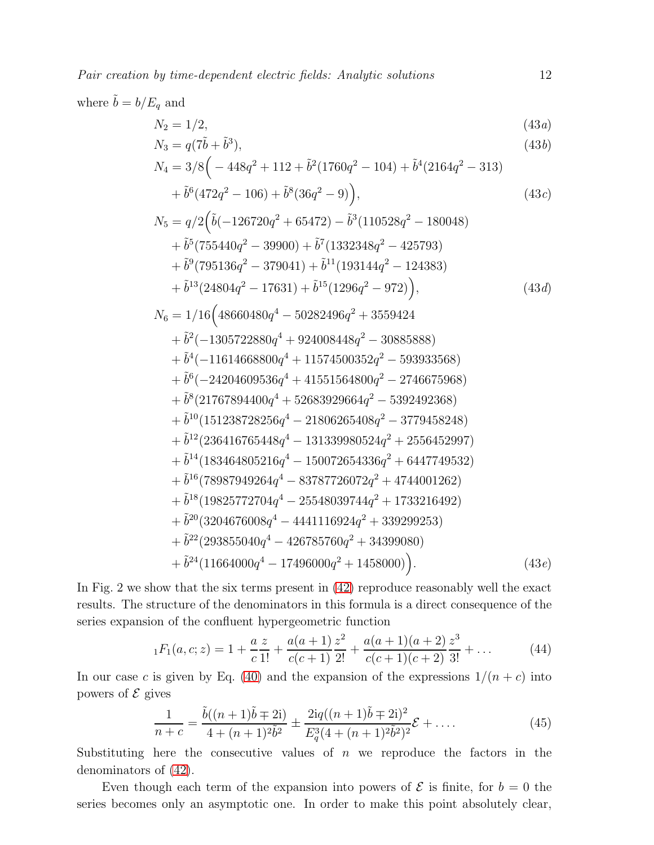Pair creation by time-dependent electric fields: Analytic solutions 12

where 
$$
\tilde{b} = b/E_q
$$
 and  
\n $N_2 = 1/2,$ \n(43*a*)  
\n $N_3 = q(7\tilde{b} + \tilde{b}^3),$ \n(43*b*)  
\n $N_4 = 3/8\left(-448q^2 + 112 + \tilde{b}^2(1760q^2 - 104) + \tilde{b}^4(2164q^2 - 313) + \tilde{b}^6(472q^2 - 106) + \tilde{b}^8(36q^2 - 9)\right),$ \n(43*c*)  
\n $N_5 = q/2\left(\tilde{b}(-126720q^2 + 65472) - \tilde{b}^3(110528q^2 - 180048) + \tilde{b}^5(755440q^2 - 39900) + \tilde{b}^7(1332348q^2 - 425793)\right)$ 

$$
+\tilde{b}^9(795136q^2 - 379041) + \tilde{b}^{11}(193144q^2 - 124383)
$$
  
+ 
$$
\tilde{b}^{13}(24804q^2 - 17631) + \tilde{b}^{15}(1296q^2 - 972)),
$$
 (43*d*)  

$$
= 1/16(48660480q^4 - 50282496q^2 + 3559424)
$$

$$
N_6 = 1/16 \left( 48660480q^4 - 50282496q^2 + 3559424
$$
  
\n
$$
+ \tilde{b}^2 (-1305722880q^4 + 924008448q^2 - 30885888)
$$
  
\n
$$
+ \tilde{b}^4 (-11614668800q^4 + 11574500352q^2 - 593933568)
$$
  
\n
$$
+ \tilde{b}^6 (-24204609536q^4 + 41551564800q^2 - 2746675968)
$$
  
\n
$$
+ \tilde{b}^8 (21767894400q^4 + 52683929664q^2 - 5392492368)
$$
  
\n
$$
+ \tilde{b}^{10} (151238728256q^4 - 21806265408q^2 - 3779458248)
$$
  
\n
$$
+ \tilde{b}^{12} (236416765448q^4 - 131339980524q^2 + 2556452997)
$$
  
\n
$$
+ \tilde{b}^{14} (183464805216q^4 - 150072654336q^2 + 6447749532)
$$
  
\n
$$
+ \tilde{b}^{16} (78987949264q^4 - 83787726072q^2 + 4744001262)
$$
  
\n
$$
+ \tilde{b}^{18} (19825772704q^4 - 25548039744q^2 + 1733216492)
$$
  
\n
$$
+ \tilde{b}^{20} (3204676008q^4 - 4441116924q^2 + 339299253)
$$
  
\n
$$
+ \tilde{b}^{22} (293855040q^4 - 426785760q^2 + 34399080)
$$
  
\

In Fig. 2 we show that the six terms present in  $(42)$  reproduce reasonably well the exact results. The structure of the denominators in this formula is a direct consequence of the series expansion of the confluent hypergeometric function

$$
{}_{1}F_{1}(a, c; z) = 1 + \frac{a}{c} \frac{z}{1!} + \frac{a(a+1)}{c(c+1)} \frac{z^{2}}{2!} + \frac{a(a+1)(a+2)}{c(c+1)(c+2)} \frac{z^{3}}{3!} + \dots
$$
 (44)

In our case c is given by Eq. [\(40\)](#page-9-3) and the expansion of the expressions  $1/(n + c)$  into powers of  $\mathcal E$  gives

$$
\frac{1}{n+c} = \frac{\tilde{b}((n+1)\tilde{b} \mp 2i)}{4 + (n+1)^2 \tilde{b}^2} \pm \frac{2iq((n+1)\tilde{b} \mp 2i)^2}{E_q^3(4 + (n+1)^2 \tilde{b}^2)^2} \mathcal{E} + \dots
$$
\n(45)

Substituting here the consecutive values of  $n$  we reproduce the factors in the denominators of [\(42\)](#page-10-1).

Even though each term of the expansion into powers of  $\mathcal E$  is finite, for  $b = 0$  the series becomes only an asymptotic one. In order to make this point absolutely clear,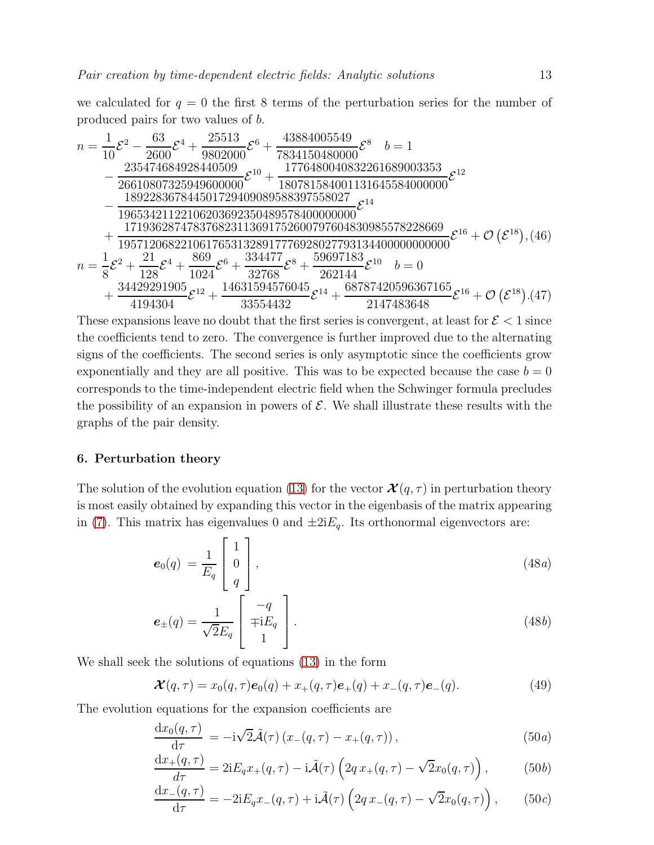we calculated for  $q = 0$  the first 8 terms of the perturbation series for the number of produced pairs for two values of b.

$$
n = \frac{1}{10}\mathcal{E}^{2} - \frac{63}{2600}\mathcal{E}^{4} + \frac{25513}{9802000}\mathcal{E}^{6} + \frac{43884005549}{7834150480000}\mathcal{E}^{8} \quad b = 1
$$
  
\n
$$
- \frac{235474684928440509}{26610807325949600000}\mathcal{E}^{10} + \frac{1776480040832261689003353}{180781584001131645584000000}\mathcal{E}^{12}
$$
  
\n
$$
- \frac{189228367844501729409089588397558027}{19653421122106203692350489578400000000}\mathcal{E}^{14}
$$
  
\n
$$
+ \frac{171936287478376823113691752600797604830985578228669}{19571206822106176531328917776928027793134400000000000}\mathcal{E}^{16} + \mathcal{O}(\mathcal{E}^{18}), (46)
$$
  
\n
$$
n = \frac{1}{8}\mathcal{E}^{2} + \frac{21}{128}\mathcal{E}^{4} + \frac{869}{1024}\mathcal{E}^{6} + \frac{334477}{32768}\mathcal{E}^{8} + \frac{59697183}{262144}\mathcal{E}^{10} \quad b = 0
$$
  
\n
$$
+ \frac{34429291905}{4194304}\mathcal{E}^{12} + \frac{14631594576045}{33554432}\mathcal{E}^{14} + \frac{68787420596367165}{2147483648}\mathcal{E}^{16} + \mathcal{O}(\mathcal{E}^{18
$$

These expansions leave no doubt that the first series is convergent, at least for  $\mathcal{E} < 1$  since the coefficients tend to zero. The convergence is further improved due to the alternating signs of the coefficients. The second series is only asymptotic since the coefficients grow exponentially and they are all positive. This was to be expected because the case  $b = 0$ corresponds to the time-independent electric field when the Schwinger formula precludes the possibility of an expansion in powers of  $\mathcal E$ . We shall illustrate these results with the graphs of the pair density.

#### <span id="page-12-0"></span>6. Perturbation theory

The solution of the evolution equation [\(13\)](#page-5-0) for the vector  $\mathcal{X}(q, \tau)$  in perturbation theory is most easily obtained by expanding this vector in the eigenbasis of the matrix appearing in [\(7\)](#page-4-1). This matrix has eigenvalues 0 and  $\pm 2iE_q$ . Its orthonormal eigenvectors are:

$$
\boldsymbol{e}_0(q) = \frac{1}{E_q} \begin{bmatrix} 1 \\ 0 \\ q \end{bmatrix}, \qquad (48a)
$$

$$
\boldsymbol{e}_{\pm}(q) = \frac{1}{\sqrt{2}E_q} \begin{bmatrix} -q \\ \mp iE_q \\ 1 \end{bmatrix} . \tag{48b}
$$

We shall seek the solutions of equations [\(13\)](#page-5-0) in the form

$$
\mathcal{X}(q,\tau) = x_0(q,\tau)e_0(q) + x_+(q,\tau)e_+(q) + x_-(q,\tau)e_-(q). \tag{49}
$$

The evolution equations for the expansion coefficients are

$$
\frac{\mathrm{d}x_0(q,\tau)}{\mathrm{d}\tau} = -\mathrm{i}\sqrt{2}\tilde{\mathcal{A}}(\tau)\left(x_-(q,\tau) - x_+(q,\tau)\right),\tag{50a}
$$

$$
\frac{\mathrm{d}x_+(q,\tau)}{d\tau} = 2\mathrm{i}E_q x_+(q,\tau) - \mathrm{i}\tilde{\mathcal{A}}(\tau) \left(2q\,x_+(q,\tau) - \sqrt{2}x_0(q,\tau)\right),\tag{50b}
$$

$$
\frac{\mathrm{d}x_{-}(q,\tau)}{\mathrm{d}\tau} = -2iE_{q}x_{-}(q,\tau) + i\tilde{\mathcal{A}}(\tau)\left(2q\,x_{-}(q,\tau) - \sqrt{2}x_{0}(q,\tau)\right),\qquad(50c)
$$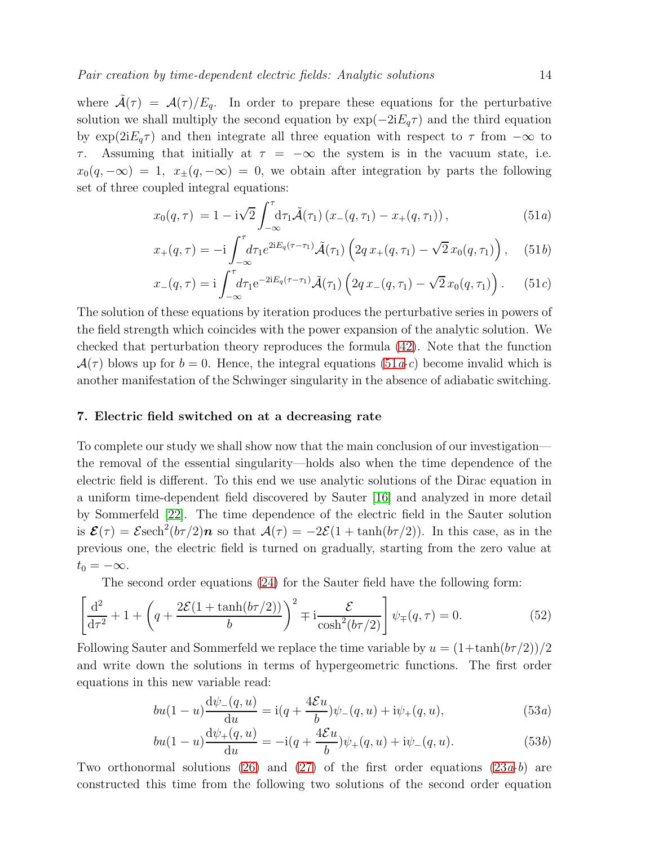where  $\tilde{\mathcal{A}}(\tau) = \mathcal{A}(\tau)/E_q$ . In order to prepare these equations for the perturbative solution we shall multiply the second equation by  $\exp(-2iE_q\tau)$  and the third equation by  $\exp(2iE_q\tau)$  and then integrate all three equation with respect to  $\tau$  from  $-\infty$  to  $τ$ . Assuming that initially at  $τ = -∞$  the system is in the vacuum state, i.e.  $x_0(q, -\infty) = 1$ ,  $x_{\pm}(q, -\infty) = 0$ , we obtain after integration by parts the following set of three coupled integral equations:

<span id="page-13-1"></span>
$$
x_0(q,\tau) = 1 - i\sqrt{2} \int_{-\infty}^{\tau} d\tau_1 \tilde{\mathcal{A}}(\tau_1) (x_-(q,\tau_1) - x_+(q,\tau_1)), \qquad (51a)
$$

$$
x_+(q,\tau) = -i \int_{-\infty}^{\tau} d\tau_1 e^{2iE_q(\tau-\tau_1)} \tilde{\mathcal{A}}(\tau_1) \left(2q \, x_+(q,\tau_1) - \sqrt{2} \, x_0(q,\tau_1)\right), \quad (51b)
$$

$$
x_{-}(q,\tau) = i \int_{-\infty}^{\tau} d\tau_1 e^{-2iE_q(\tau-\tau_1)} \tilde{\mathcal{A}}(\tau_1) \left(2q \, x_{-}(q,\tau_1) - \sqrt{2} \, x_0(q,\tau_1)\right). \tag{51c}
$$

The solution of these equations by iteration produces the perturbative series in powers of the field strength which coincides with the power expansion of the analytic solution. We checked that perturbation theory reproduces the formula [\(42\)](#page-10-1). Note that the function  $\mathcal{A}(\tau)$  blows up for  $b = 0$ . Hence, the integral equations  $(51a-c)$  become invalid which is another manifestation of the Schwinger singularity in the absence of adiabatic switching.

#### <span id="page-13-0"></span>7. Electric field switched on at a decreasing rate

To complete our study we shall show now that the main conclusion of our investigation the removal of the essential singularity—holds also when the time dependence of the electric field is different. To this end we use analytic solutions of the Dirac equation in a uniform time-dependent field discovered by Sauter [\[16\]](#page-20-7) and analyzed in more detail by Sommerfeld [\[22\]](#page-20-14). The time dependence of the electric field in the Sauter solution is  $\mathcal{E}(\tau) = \mathcal{E} \text{sech}^2(b\tau/2)\boldsymbol{n}$  so that  $\mathcal{A}(\tau) = -2\mathcal{E}(1 + \tanh(b\tau/2))$ . In this case, as in the previous one, the electric field is turned on gradually, starting from the zero value at  $t_0 = -\infty$ .

The second order equations [\(24\)](#page-6-1) for the Sauter field have the following form:

$$
\left[\frac{d^2}{d\tau^2} + 1 + \left(q + \frac{2\mathcal{E}(1 + \tanh(b\tau/2))}{b}\right)^2 + i\frac{\mathcal{E}}{\cosh^2(b\tau/2)}\right]\psi_{\mp}(q,\tau) = 0.
$$
 (52)

Following Sauter and Sommerfeld we replace the time variable by  $u = (1 + \tanh(b\tau/2))/2$ and write down the solutions in terms of hypergeometric functions. The first order equations in this new variable read:

$$
bu(1-u)\frac{d\psi_{-}(q,u)}{du} = i(q + \frac{4\mathcal{E}u}{b})\psi_{-}(q,u) + i\psi_{+}(q,u),
$$
\n(53*a*)

$$
bu(1-u)\frac{d\psi_+(q,u)}{du} = -i(q + \frac{4\mathcal{E}u}{b})\psi_+(q,u) + i\psi_-(q,u). \tag{53b}
$$

Two orthonormal solutions [\(26\)](#page-6-2) and [\(27\)](#page-6-3) of the first order equations [\(23](#page-7-1)*a-b*) are constructed this time from the following two solutions of the second order equation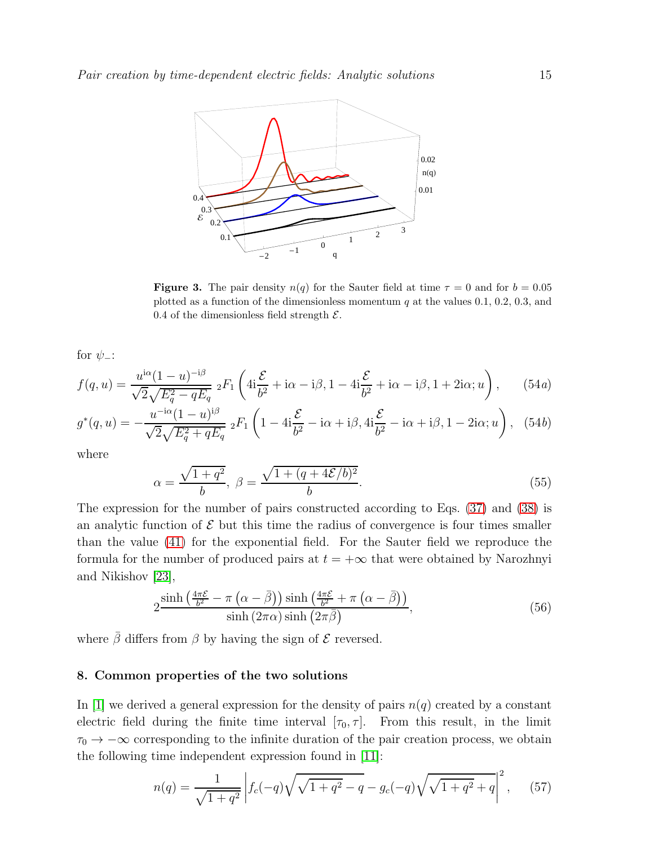

**Figure 3.** The pair density  $n(q)$  for the Sauter field at time  $\tau = 0$  and for  $b = 0.05$ plotted as a function of the dimensionless momentum  $q$  at the values 0.1, 0.2, 0.3, and 0.4 of the dimensionless field strength  $\mathcal{E}$ .

for  $\psi$ <sub>-</sub>:

<span id="page-14-1"></span>
$$
f(q, u) = \frac{u^{i\alpha}(1 - u)^{-i\beta}}{\sqrt{2}\sqrt{E_q^2 - qE_q}} \; _2F_1\left(4i\frac{\mathcal{E}}{b^2} + i\alpha - i\beta, 1 - 4i\frac{\mathcal{E}}{b^2} + i\alpha - i\beta, 1 + 2i\alpha; u\right),\qquad(54a)
$$

$$
g^*(q, u) = -\frac{u^{-i\alpha}(1 - u)^{i\beta}}{\sqrt{2}\sqrt{E_q^2 + qE_q}} \; {}_2F_1\left(1 - 4i\frac{\mathcal{E}}{b^2} - i\alpha + i\beta, 4i\frac{\mathcal{E}}{b^2} - i\alpha + i\beta, 1 - 2i\alpha; u\right), \tag{54b}
$$

where

$$
\alpha = \frac{\sqrt{1+q^2}}{b}, \ \beta = \frac{\sqrt{1+(q+4\mathcal{E}/b)^2}}{b}.
$$
\n(55)

The expression for the number of pairs constructed according to Eqs. [\(37\)](#page-9-1) and [\(38\)](#page-9-2) is an analytic function of  $\mathcal E$  but this time the radius of convergence is four times smaller than the value [\(41\)](#page-10-2) for the exponential field. For the Sauter field we reproduce the formula for the number of produced pairs at  $t = +\infty$  that were obtained by Narozhnyi and Nikishov [\[23\]](#page-20-15),

$$
2\frac{\sinh\left(\frac{4\pi\mathcal{E}}{b^2} - \pi\left(\alpha - \bar{\beta}\right)\right)\sinh\left(\frac{4\pi\mathcal{E}}{b^2} + \pi\left(\alpha - \bar{\beta}\right)\right)}{\sinh\left(2\pi\alpha\right)\sinh\left(2\pi\bar{\beta}\right)},\tag{56}
$$

where  $\bar{\beta}$  differs from  $\beta$  by having the sign of  $\mathcal E$  reversed.

#### <span id="page-14-0"></span>8. Common properties of the two solutions

In [\[1\]](#page-20-0) we derived a general expression for the density of pairs  $n(q)$  created by a constant electric field during the finite time interval  $[\tau_0, \tau]$ . From this result, in the limit  $\tau_0 \to -\infty$  corresponding to the infinite duration of the pair creation process, we obtain the following time independent expression found in [\[11\]](#page-20-16):

<span id="page-14-2"></span>
$$
n(q) = \frac{1}{\sqrt{1+q^2}} \left| f_c(-q) \sqrt{\sqrt{1+q^2} - q} - g_c(-q) \sqrt{\sqrt{1+q^2} + q} \right|^2, \quad (57)
$$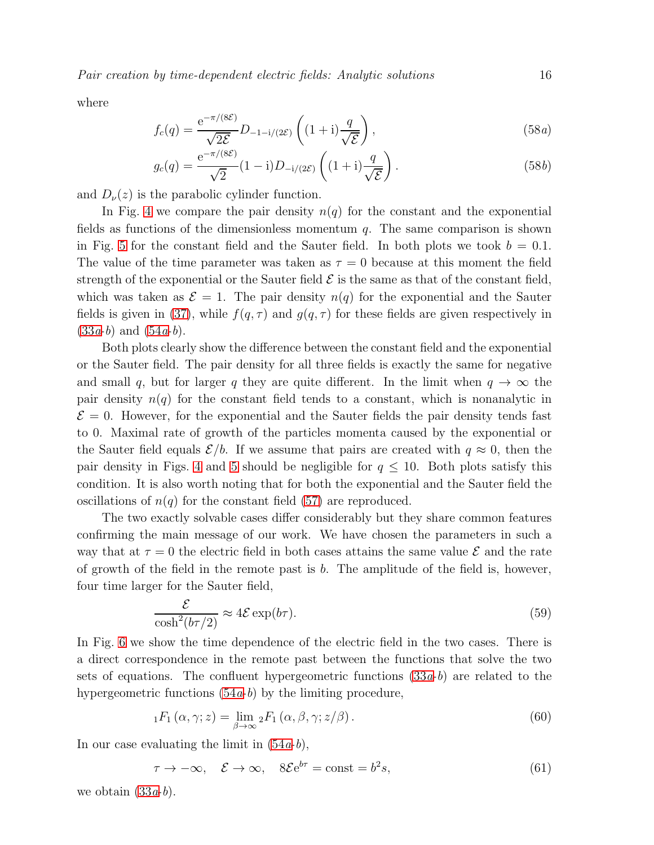Pair creation by time-dependent electric fields: Analytic solutions 16

where

$$
f_c(q) = \frac{e^{-\pi/(8\mathcal{E})}}{\sqrt{2\mathcal{E}}} D_{-1-i/(2\mathcal{E})} \left( (1+i)\frac{q}{\sqrt{\mathcal{E}}} \right),\tag{58a}
$$

$$
g_c(q) = \frac{e^{-\pi/(8\mathcal{E})}}{\sqrt{2}} (1 - i) D_{-i/(2\mathcal{E})} \left( (1 + i) \frac{q}{\sqrt{\mathcal{E}}} \right).
$$
 (58*b*)

and  $D_{\nu}(z)$  is the parabolic cylinder function.

In Fig. [4](#page-16-0) we compare the pair density  $n(q)$  for the constant and the exponential fields as functions of the dimensionless momentum  $q$ . The same comparison is shown in Fig. [5](#page-16-1) for the constant field and the Sauter field. In both plots we took  $b = 0.1$ . The value of the time parameter was taken as  $\tau = 0$  because at this moment the field strength of the exponential or the Sauter field  $\mathcal E$  is the same as that of the constant field, which was taken as  $\mathcal{E} = 1$ . The pair density  $n(q)$  for the exponential and the Sauter fields is given in [\(37\)](#page-9-1), while  $f(q, \tau)$  and  $g(q, \tau)$  for these fields are given respectively in  $(33a-b)$  $(33a-b)$  and  $(54a-b)$ .

Both plots clearly show the difference between the constant field and the exponential or the Sauter field. The pair density for all three fields is exactly the same for negative and small q, but for larger q they are quite different. In the limit when  $q \to \infty$  the pair density  $n(q)$  for the constant field tends to a constant, which is nonanalytic in  $\mathcal{E} = 0$ . However, for the exponential and the Sauter fields the pair density tends fast to 0. Maximal rate of growth of the particles momenta caused by the exponential or the Sauter field equals  $\mathcal{E}/b$ . If we assume that pairs are created with  $q \approx 0$ , then the pair density in Figs. [4](#page-16-0) and [5](#page-16-1) should be negligible for  $q \leq 10$ . Both plots satisfy this condition. It is also worth noting that for both the exponential and the Sauter field the oscillations of  $n(q)$  for the constant field [\(57\)](#page-14-2) are reproduced.

The two exactly solvable cases differ considerably but they share common features confirming the main message of our work. We have chosen the parameters in such a way that at  $\tau = 0$  the electric field in both cases attains the same value  $\mathcal E$  and the rate of growth of the field in the remote past is  $b$ . The amplitude of the field is, however, four time larger for the Sauter field,

$$
\frac{\mathcal{E}}{\cosh^2(b\tau/2)} \approx 4\mathcal{E}\exp(b\tau). \tag{59}
$$

In Fig. [6](#page-17-0) we show the time dependence of the electric field in the two cases. There is a direct correspondence in the remote past between the functions that solve the two sets of equations. The confluent hypergeometric functions  $(33a-b)$  are related to the hypergeometric functions  $(54a-b)$  by the limiting procedure,

$$
{}_{1}F_{1}\left(\alpha,\gamma;z\right) = \lim_{\beta \to \infty} {}_{2}F_{1}\left(\alpha,\beta,\gamma;z/\beta\right). \tag{60}
$$

In our case evaluating the limit in  $(54a-b)$ ,

$$
\tau \to -\infty, \quad \mathcal{E} \to \infty, \quad 8\mathcal{E}e^{b\tau} = \text{const} = b^2 s,\tag{61}
$$

we obtain  $(33a-b)$ .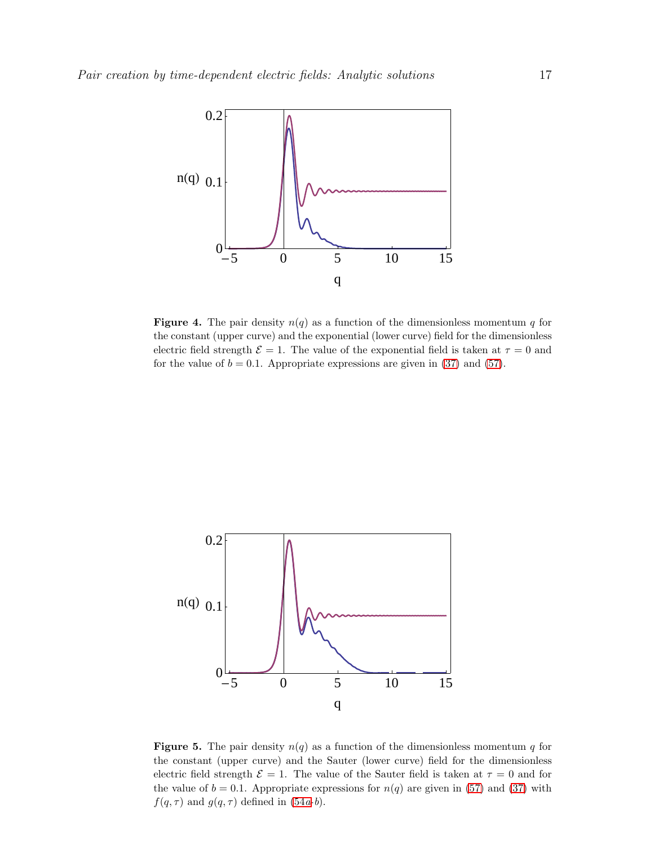

<span id="page-16-0"></span>**Figure 4.** The pair density  $n(q)$  as a function of the dimensionless momentum q for the constant (upper curve) and the exponential (lower curve) field for the dimensionless electric field strength  $\mathcal{E} = 1$ . The value of the exponential field is taken at  $\tau = 0$  and for the value of  $b = 0.1$ . Appropriate expressions are given in [\(37\)](#page-9-1) and [\(57\)](#page-14-2).



<span id="page-16-1"></span>**Figure 5.** The pair density  $n(q)$  as a function of the dimensionless momentum q for the constant (upper curve) and the Sauter (lower curve) field for the dimensionless electric field strength  $\mathcal{E} = 1$ . The value of the Sauter field is taken at  $\tau = 0$  and for the value of  $b = 0.1$ . Appropriate expressions for  $n(q)$  are given in [\(57\)](#page-14-2) and [\(37\)](#page-9-1) with  $f(q, \tau)$  and  $g(q, \tau)$  defined in [\(54](#page-14-1)a-b).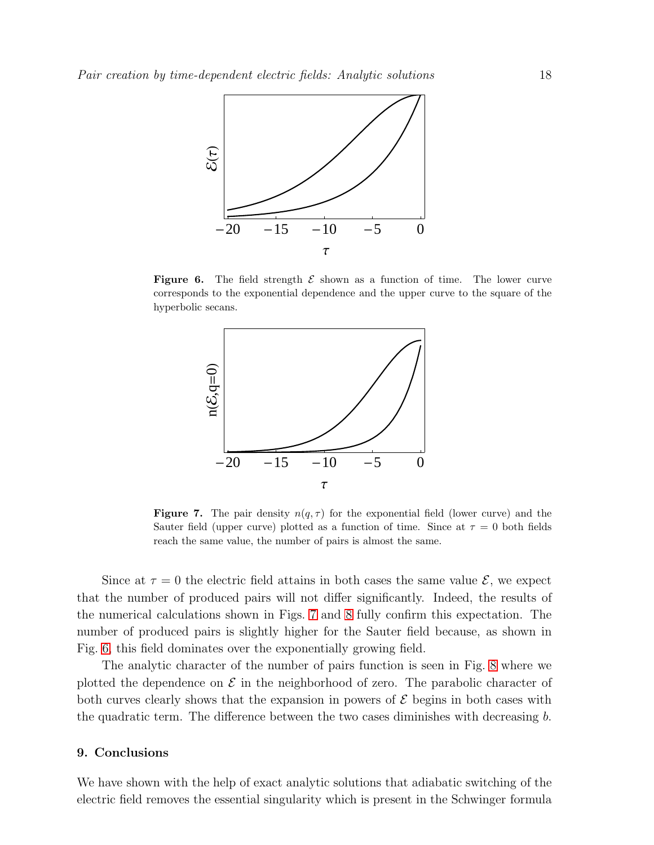

**Figure 6.** The field strength  $\mathcal E$  shown as a function of time. The lower curve corresponds to the exponential dependence and the upper curve to the square of the hyperbolic secans.

<span id="page-17-0"></span>

<span id="page-17-1"></span>**Figure 7.** The pair density  $n(q, \tau)$  for the exponential field (lower curve) and the Sauter field (upper curve) plotted as a function of time. Since at  $\tau = 0$  both fields reach the same value, the number of pairs is almost the same.

Since at  $\tau = 0$  the electric field attains in both cases the same value  $\mathcal{E}$ , we expect that the number of produced pairs will not differ significantly. Indeed, the results of the numerical calculations shown in Figs. [7](#page-17-1) and [8](#page-18-0) fully confirm this expectation. The number of produced pairs is slightly higher for the Sauter field because, as shown in Fig. [6,](#page-17-0) this field dominates over the exponentially growing field.

The analytic character of the number of pairs function is seen in Fig. [8](#page-18-0) where we plotted the dependence on  $\mathcal E$  in the neighborhood of zero. The parabolic character of both curves clearly shows that the expansion in powers of  $\mathcal E$  begins in both cases with the quadratic term. The difference between the two cases diminishes with decreasing b.

#### 9. Conclusions

We have shown with the help of exact analytic solutions that adiabatic switching of the electric field removes the essential singularity which is present in the Schwinger formula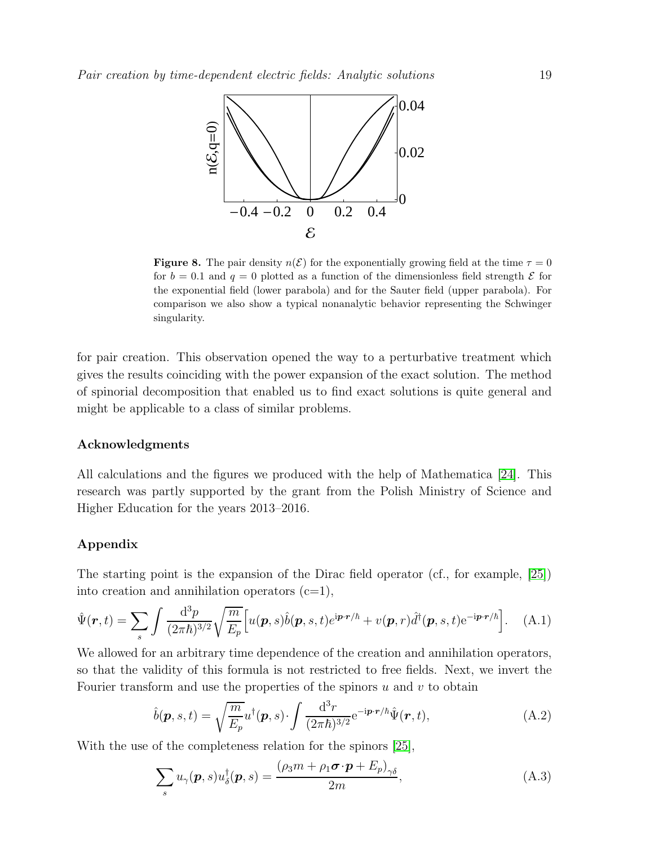

<span id="page-18-0"></span>**Figure 8.** The pair density  $n(\mathcal{E})$  for the exponentially growing field at the time  $\tau = 0$ for  $b = 0.1$  and  $q = 0$  plotted as a function of the dimensionless field strength  $\mathcal E$  for the exponential field (lower parabola) and for the Sauter field (upper parabola). For comparison we also show a typical nonanalytic behavior representing the Schwinger singularity.

for pair creation. This observation opened the way to a perturbative treatment which gives the results coinciding with the power expansion of the exact solution. The method of spinorial decomposition that enabled us to find exact solutions is quite general and might be applicable to a class of similar problems.

#### Acknowledgments

All calculations and the figures we produced with the help of Mathematica [\[24\]](#page-20-17). This research was partly supported by the grant from the Polish Ministry of Science and Higher Education for the years 2013–2016.

## Appendix

The starting point is the expansion of the Dirac field operator (cf., for example, [\[25\]](#page-20-18)) into creation and annihilation operators  $(c=1)$ ,

<span id="page-18-1"></span>
$$
\hat{\Psi}(\boldsymbol{r},t) = \sum_{s} \int \frac{\mathrm{d}^3 p}{(2\pi\hbar)^{3/2}} \sqrt{\frac{m}{E_p}} \Big[ u(\boldsymbol{p},s)\hat{b}(\boldsymbol{p},s,t)e^{i\boldsymbol{p}\cdot\boldsymbol{r}/\hbar} + v(\boldsymbol{p},r)\hat{d}^\dagger(\boldsymbol{p},s,t)e^{-i\boldsymbol{p}\cdot\boldsymbol{r}/\hbar} \Big]. \tag{A.1}
$$

We allowed for an arbitrary time dependence of the creation and annihilation operators, so that the validity of this formula is not restricted to free fields. Next, we invert the Fourier transform and use the properties of the spinors  $u$  and  $v$  to obtain

$$
\hat{b}(\boldsymbol{p},s,t) = \sqrt{\frac{m}{E_p}} u^{\dagger}(\boldsymbol{p},s) \cdot \int \frac{\mathrm{d}^3 r}{(2\pi\hbar)^{3/2}} e^{-i\boldsymbol{p}\cdot\boldsymbol{r}/\hbar} \hat{\Psi}(\boldsymbol{r},t), \tag{A.2}
$$

With the use of the completeness relation for the spinors [\[25\]](#page-20-18),

$$
\sum_{s} u_{\gamma}(\boldsymbol{p}, s) u_{\delta}^{\dagger}(\boldsymbol{p}, s) = \frac{(\rho_{3} m + \rho_{1} \boldsymbol{\sigma} \cdot \boldsymbol{p} + E_{p})_{\gamma \delta}}{2m}, \tag{A.3}
$$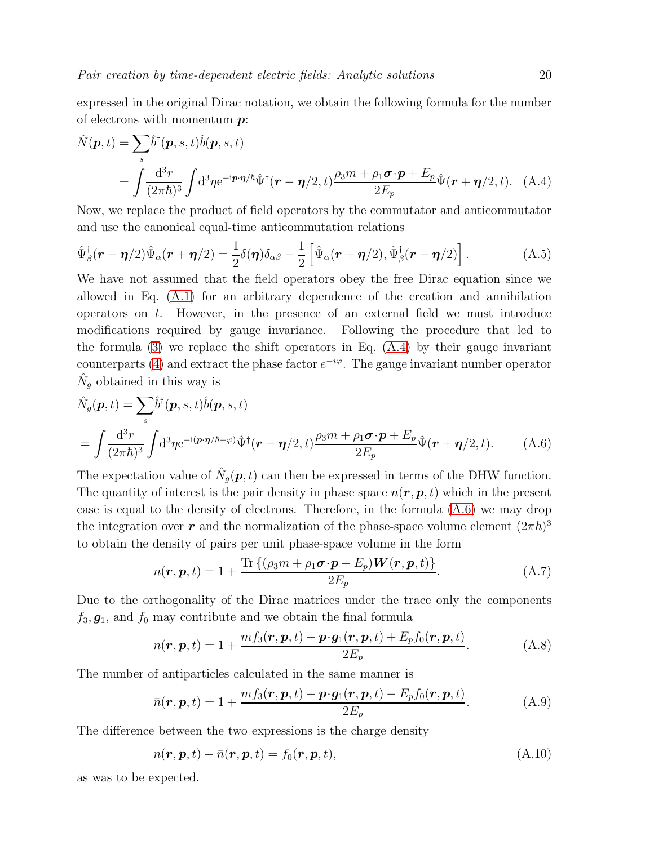expressed in the original Dirac notation, we obtain the following formula for the number of electrons with momentum  $p$ :

<span id="page-19-1"></span>
$$
\hat{N}(\boldsymbol{p},t) = \sum_{s} \hat{b}^{\dagger}(\boldsymbol{p},s,t) \hat{b}(\boldsymbol{p},s,t)
$$
\n
$$
= \int \frac{d^{3}r}{(2\pi\hbar)^{3}} \int d^{3}\eta e^{-i\boldsymbol{p}\cdot\boldsymbol{\eta}/\hbar} \hat{\Psi}^{\dagger}(\boldsymbol{r}-\boldsymbol{\eta}/2,t) \frac{\rho_{3}m+\rho_{1}\boldsymbol{\sigma}\cdot\boldsymbol{p}+E_{p}}{2E_{p}} \hat{\Psi}(\boldsymbol{r}+\boldsymbol{\eta}/2,t). \quad (A.4)
$$

Now, we replace the product of field operators by the commutator and anticommutator and use the canonical equal-time anticommutation relations

$$
\hat{\Psi}_{\beta}^{\dagger}(\boldsymbol{r}-\boldsymbol{\eta}/2)\hat{\Psi}_{\alpha}(\boldsymbol{r}+\boldsymbol{\eta}/2)=\frac{1}{2}\delta(\boldsymbol{\eta})\delta_{\alpha\beta}-\frac{1}{2}\left[\hat{\Psi}_{\alpha}(\boldsymbol{r}+\boldsymbol{\eta}/2),\hat{\Psi}_{\beta}^{\dagger}(\boldsymbol{r}-\boldsymbol{\eta}/2)\right].
$$
\n(A.5)

We have not assumed that the field operators obey the free Dirac equation since we allowed in Eq. [\(A.1\)](#page-18-1) for an arbitrary dependence of the creation and annihilation operators on t. However, in the presence of an external field we must introduce modifications required by gauge invariance. Following the procedure that led to the formula  $(3)$  we replace the shift operators in Eq.  $(A.4)$  by their gauge invariant counterparts [\(4\)](#page-3-3) and extract the phase factor  $e^{-i\varphi}$ . The gauge invariant number operator  $\hat{N}_g$  obtained in this way is

<span id="page-19-2"></span>
$$
\hat{N}_g(\mathbf{p},t) = \sum_s \hat{b}^\dagger(\mathbf{p},s,t)\hat{b}(\mathbf{p},s,t) \n= \int \frac{\mathrm{d}^3 r}{(2\pi\hbar)^3} \int \mathrm{d}^3 \eta \mathrm{e}^{-\mathrm{i}(\mathbf{p}\cdot\mathbf{\eta}/\hbar+\varphi)} \hat{\Psi}^\dagger(\mathbf{r}-\mathbf{\eta}/2,t) \frac{\rho_3 m + \rho_1 \sigma \cdot \mathbf{p} + E_p}{2E_p} \hat{\Psi}(\mathbf{r}+\mathbf{\eta}/2,t).
$$
\n(A.6)

The expectation value of  $\hat{N}_g(p,t)$  can then be expressed in terms of the DHW function. The quantity of interest is the pair density in phase space  $n(r, p, t)$  which in the present case is equal to the density of electrons. Therefore, in the formula [\(A.6\)](#page-19-2) we may drop the integration over  $r$  and the normalization of the phase-space volume element  $(2\pi\hbar)^3$ to obtain the density of pairs per unit phase-space volume in the form

$$
n(\boldsymbol{r}, \boldsymbol{p}, t) = 1 + \frac{\text{Tr}\left\{(\rho_3 m + \rho_1 \boldsymbol{\sigma} \cdot \boldsymbol{p} + E_p) \boldsymbol{W}(\boldsymbol{r}, \boldsymbol{p}, t)\right\}}{2E_p}.
$$
 (A.7)

Due to the orthogonality of the Dirac matrices under the trace only the components  $f_3, g_1$ , and  $f_0$  may contribute and we obtain the final formula

<span id="page-19-0"></span>
$$
n(\boldsymbol{r}, \boldsymbol{p}, t) = 1 + \frac{mf_3(\boldsymbol{r}, \boldsymbol{p}, t) + \boldsymbol{p} \cdot \boldsymbol{g}_1(\boldsymbol{r}, \boldsymbol{p}, t) + E_p f_0(\boldsymbol{r}, \boldsymbol{p}, t)}{2E_p}.
$$
 (A.8)

The number of antiparticles calculated in the same manner is

$$
\bar{n}(\boldsymbol{r},\boldsymbol{p},t) = 1 + \frac{mf_3(\boldsymbol{r},\boldsymbol{p},t) + \boldsymbol{p} \cdot \boldsymbol{g}_1(\boldsymbol{r},\boldsymbol{p},t) - E_p f_0(\boldsymbol{r},\boldsymbol{p},t)}{2E_p}.
$$
\n(A.9)

The difference between the two expressions is the charge density

$$
n(\mathbf{r}, \mathbf{p}, t) - \bar{n}(\mathbf{r}, \mathbf{p}, t) = f_0(\mathbf{r}, \mathbf{p}, t), \tag{A.10}
$$

as was to be expected.